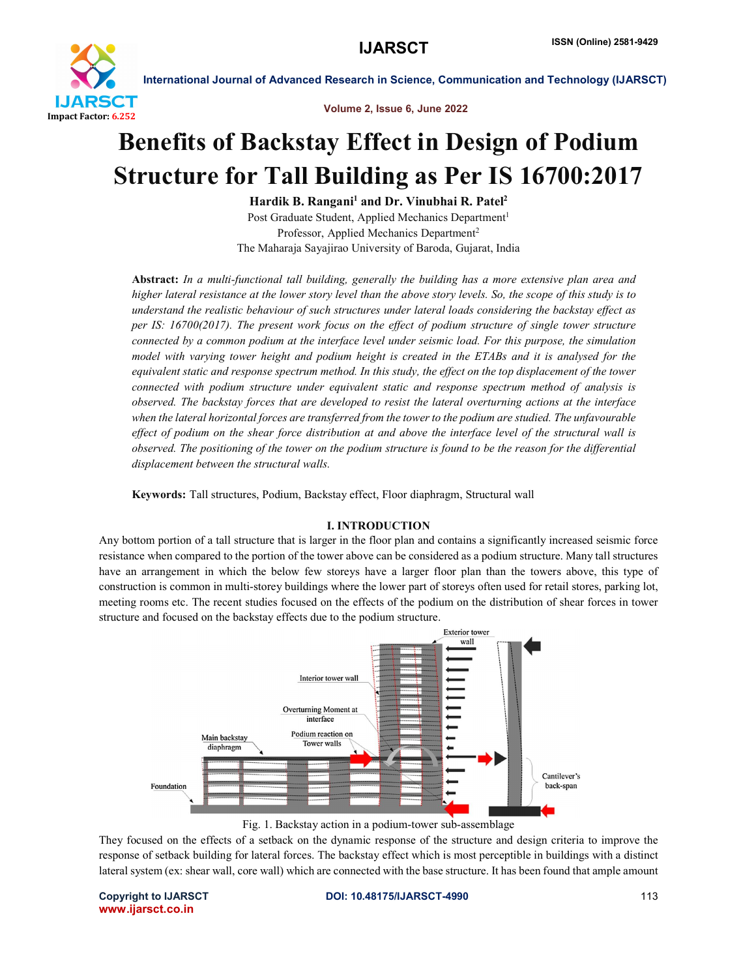

International Journal of Advanced Research in Science, Communication and Technology (IJARSCT)

Volume 2, Issue 6, June 2022

## Benefits of Backstay Effect in Design of Podium Structure for Tall Building as Per IS 16700:2017

Hardik B. Rangani<sup>1</sup> and Dr. Vinubhai R. Patel<sup>2</sup> Post Graduate Student, Applied Mechanics Department<sup>1</sup> Professor, Applied Mechanics Department2 The Maharaja Sayajirao University of Baroda, Gujarat, India

Abstract: *In a multi-functional tall building, generally the building has a more extensive plan area and higher lateral resistance at the lower story level than the above story levels. So, the scope of this study is to understand the realistic behaviour of such structures under lateral loads considering the backstay effect as per IS: 16700(2017). The present work focus on the effect of podium structure of single tower structure connected by a common podium at the interface level under seismic load. For this purpose, the simulation model with varying tower height and podium height is created in the ETABs and it is analysed for the equivalent static and response spectrum method. In this study, the effect on the top displacement of the tower connected with podium structure under equivalent static and response spectrum method of analysis is observed. The backstay forces that are developed to resist the lateral overturning actions at the interface when the lateral horizontal forces are transferred from the tower to the podium are studied. The unfavourable effect of podium on the shear force distribution at and above the interface level of the structural wall is observed. The positioning of the tower on the podium structure is found to be the reason for the differential displacement between the structural walls.*

Keywords: Tall structures, Podium, Backstay effect, Floor diaphragm, Structural wall

## I. INTRODUCTION

Any bottom portion of a tall structure that is larger in the floor plan and contains a significantly increased seismic force resistance when compared to the portion of the tower above can be considered as a podium structure. Many tall structures have an arrangement in which the below few storeys have a larger floor plan than the towers above, this type of construction is common in multi-storey buildings where the lower part of storeys often used for retail stores, parking lot, meeting rooms etc. The recent studies focused on the effects of the podium on the distribution of shear forces in tower structure and focused on the backstay effects due to the podium structure.



Fig. 1. Backstay action in a podium-tower sub-assemblage

They focused on the effects of a setback on the dynamic response of the structure and design criteria to improve the response of setback building for lateral forces. The backstay effect which is most perceptible in buildings with a distinct lateral system (ex: shear wall, core wall) which are connected with the base structure. It has been found that ample amount

www.ijarsct.co.in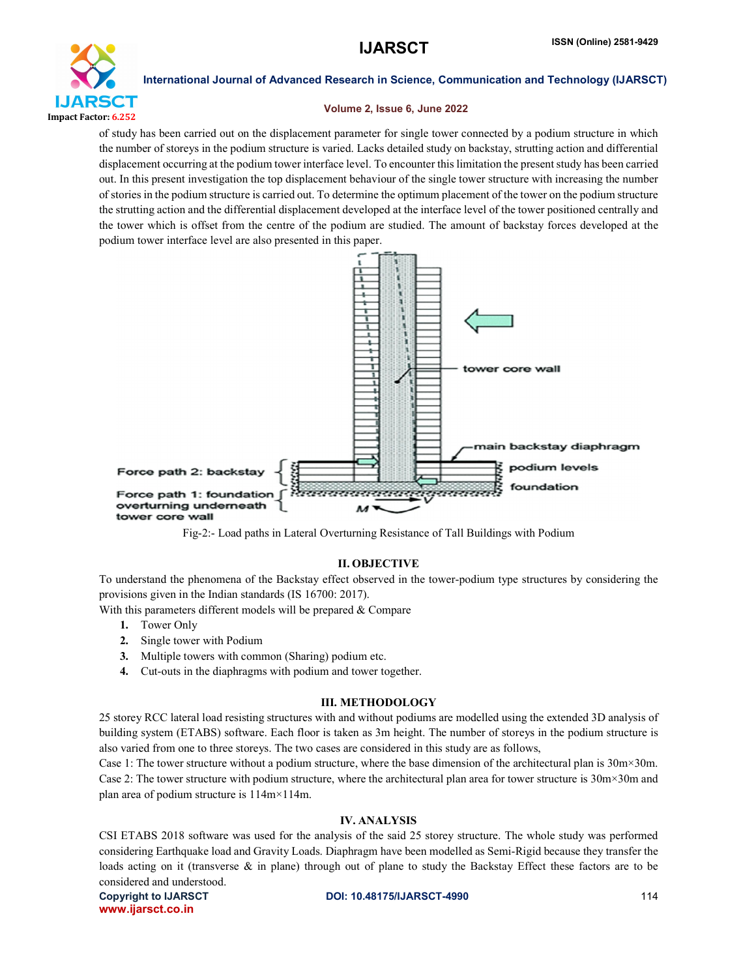

International Journal of Advanced Research in Science, Communication and Technology (IJARSCT)

#### Volume 2, Issue 6, June 2022

of study has been carried out on the displacement parameter for single tower connected by a podium structure in which the number of storeys in the podium structure is varied. Lacks detailed study on backstay, strutting action and differential displacement occurring at the podium tower interface level. To encounter this limitation the presentstudy has been carried out. In this present investigation the top displacement behaviour of the single tower structure with increasing the number of stories in the podium structure is carried out. To determine the optimum placement of the tower on the podium structure the strutting action and the differential displacement developed at the interface level of the tower positioned centrally and the tower which is offset from the centre of the podium are studied. The amount of backstay forces developed at the podium tower interface level are also presented in this paper.



Fig-2:- Load paths in Lateral Overturning Resistance of Tall Buildings with Podium

#### II. OBJECTIVE

To understand the phenomena of the Backstay effect observed in the tower-podium type structures by considering the provisions given in the Indian standards (IS 16700: 2017).

With this parameters different models will be prepared & Compare

- 1. Tower Only
- 2. Single tower with Podium
- 3. Multiple towers with common (Sharing) podium etc.
- 4. Cut-outs in the diaphragms with podium and tower together.

#### III. METHODOLOGY

25 storey RCC lateral load resisting structures with and without podiums are modelled using the extended 3D analysis of building system (ETABS) software. Each floor is taken as 3m height. The number of storeys in the podium structure is also varied from one to three storeys. The two cases are considered in this study are as follows,

Case 1: The tower structure without a podium structure, where the base dimension of the architectural plan is 30m×30m. Case 2: The tower structure with podium structure, where the architectural plan area for tower structure is 30m×30m and plan area of podium structure is 114m×114m.

## IV. ANALYSIS

CSI ETABS 2018 software was used for the analysis of the said 25 storey structure. The whole study was performed considering Earthquake load and Gravity Loads. Diaphragm have been modelled as Semi-Rigid because they transfer the loads acting on it (transverse & in plane) through out of plane to study the Backstay Effect these factors are to be considered and understood.

www.ijarsct.co.in

#### Copyright to IJARSCT **DOI: 10.48175/IJARSCT-4990** 114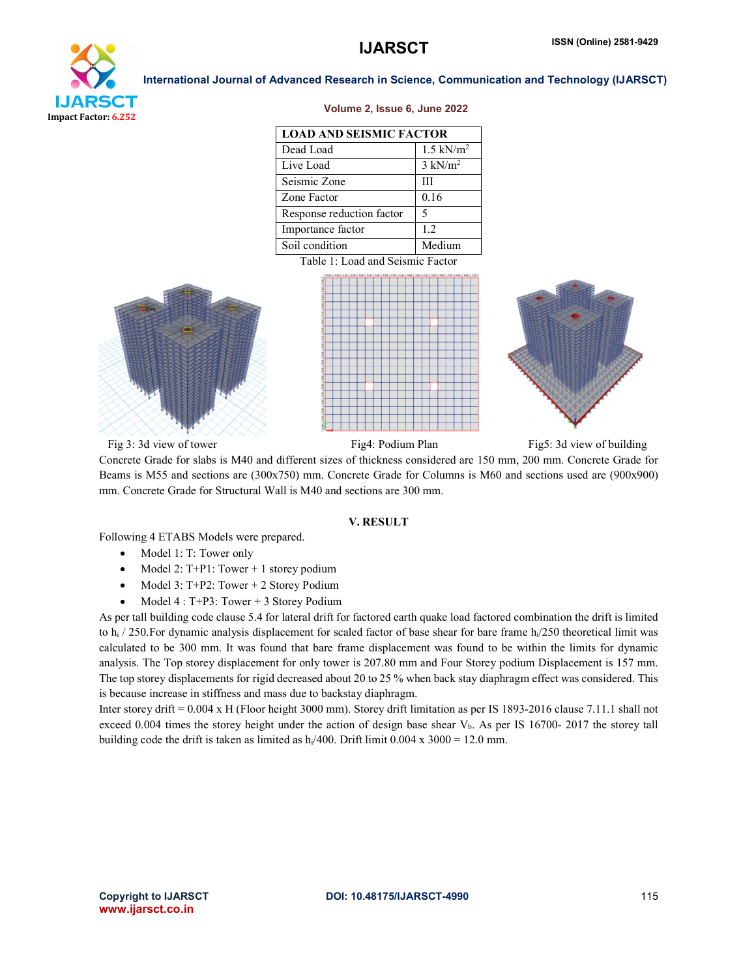

#### International Journal of Advanced Research in Science, Communication and Technology (IJARSCT)

#### Volume 2, Issue 6, June 2022

| <b>LOAD AND SEISMIC FACTOR</b> |                      |
|--------------------------------|----------------------|
| Dead Load                      | $1.5 \text{ kN/m}^2$ |
| Live Load                      | $3 \text{ kN/m}^2$   |
| Seismic Zone                   | Ш                    |
| Zone Factor                    | 0.16                 |
| Response reduction factor      | 5                    |
| Importance factor              | 12                   |
| Soil condition                 | Medium               |

Table 1: Load and Seismic Factor







Fig 3: 3d view of tower Fig4: Podium Plan Fig5: 3d view of building

Concrete Grade for slabs is M40 and different sizes of thickness considered are 150 mm, 200 mm. Concrete Grade for Beams is M55 and sections are (300x750) mm. Concrete Grade for Columns is M60 and sections used are (900x900) mm. Concrete Grade for Structural Wall is M40 and sections are 300 mm.

### V. RESULT

Following 4 ETABS Models were prepared.

- $\bullet$  Model 1: T: Tower only
- Model 2:  $T+P1$ : Tower + 1 storey podium
- $\bullet$  Model 3: T+P2: Tower + 2 Storey Podium
- $\bullet$  Model 4 : T+P3: Tower + 3 Storey Podium

As per tall building code clause 5.4 for lateral drift for factored earth quake load factored combination the drift is limited to h<sub>i</sub> / 250. For dynamic analysis displacement for scaled factor of base shear for bare frame h<sub>i</sub>/250 theoretical limit was calculated to be 300 mm. It was found that bare frame displacement was found to be within the limits for dynamic analysis. The Top storey displacement for only tower is 207.80 mm and Four Storey podium Displacement is 157 mm. The top storey displacements for rigid decreased about 20 to 25 % when back stay diaphragm effect was considered. This is because increase in stiffness and mass due to backstay diaphragm.

Inter storey drift = 0.004 x H (Floor height 3000 mm). Storey drift limitation as per IS 1893-2016 clause 7.11.1 shall not exceed 0.004 times the storey height under the action of design base shear V<sub>b</sub>. As per IS 16700- 2017 the storey tall building code the drift is taken as limited as  $h_i/400$ . Drift limit 0.004 x 3000 = 12.0 mm.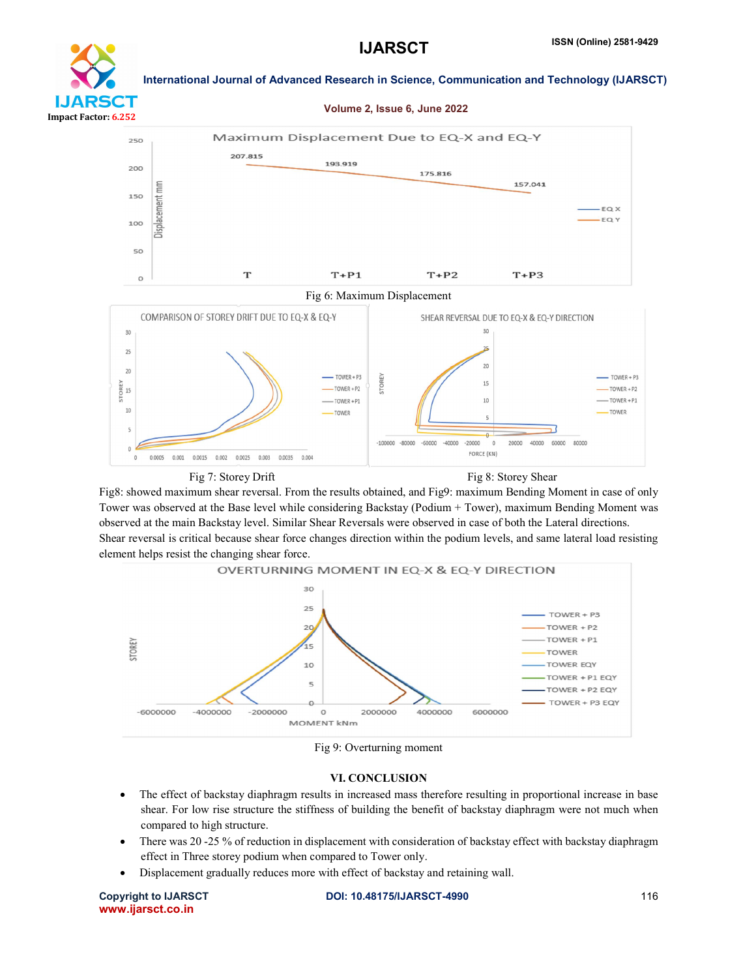Volume 2, Issue 6, June 2022



#### International Journal of Advanced Research in Science, Communication and Technology (IJARSCT)



Fig 7: Storey Drift Fig 8: Storey Shear

Fig8: showed maximum shear reversal. From the results obtained, and Fig9: maximum Bending Moment in case of only Tower was observed at the Base level while considering Backstay (Podium + Tower), maximum Bending Moment was observed at the main Backstay level. Similar Shear Reversals were observed in case of both the Lateral directions. Shear reversal is critical because shear force changes direction within the podium levels, and same lateral load resisting element helps resist the changing shear force.



Fig 9: Overturning moment

#### VI. CONCLUSION

- The effect of backstay diaphragm results in increased mass therefore resulting in proportional increase in base shear. For low rise structure the stiffness of building the benefit of backstay diaphragm were not much when compared to high structure.
- There was 20 -25 % of reduction in displacement with consideration of backstay effect with backstay diaphragm effect in Three storey podium when compared to Tower only.
- Displacement gradually reduces more with effect of backstay and retaining wall.

www.ijarsct.co.in